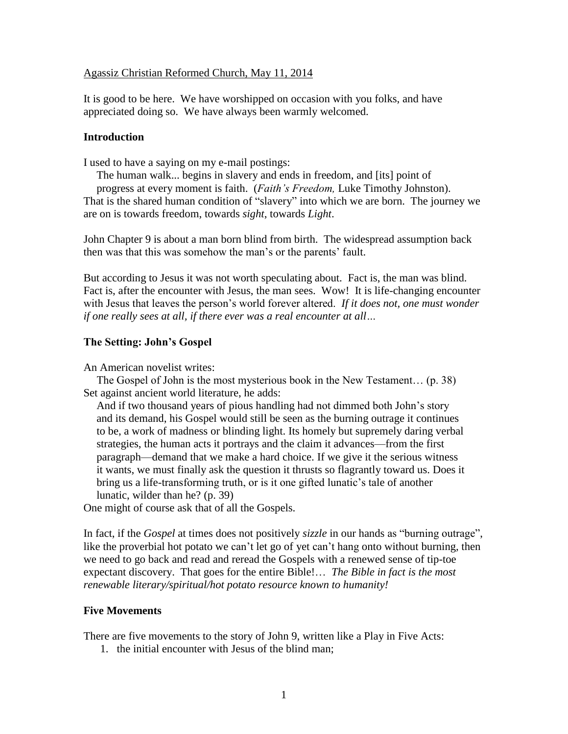#### Agassiz Christian Reformed Church, May 11, 2014

It is good to be here. We have worshipped on occasion with you folks, and have appreciated doing so. We have always been warmly welcomed.

#### **Introduction**

I used to have a saying on my e-mail postings:

The human walk... begins in slavery and ends in freedom, and [its] point of progress at every moment is faith. (*Faith's Freedom,* Luke Timothy Johnston). That is the shared human condition of "slavery" into which we are born. The journey we are on is towards freedom, towards *sight*, towards *Light*.

John Chapter 9 is about a man born blind from birth. The widespread assumption back then was that this was somehow the man's or the parents' fault.

But according to Jesus it was not worth speculating about. Fact is, the man was blind. Fact is, after the encounter with Jesus, the man sees. Wow! It is life-changing encounter with Jesus that leaves the person's world forever altered. *If it does not, one must wonder if one really sees at all, if there ever was a real encounter at all…*

#### **The Setting: John's Gospel**

An American novelist writes:

The Gospel of John is the most mysterious book in the New Testament… (p. 38) Set against ancient world literature, he adds:

And if two thousand years of pious handling had not dimmed both John's story and its demand, his Gospel would still be seen as the burning outrage it continues to be, a work of madness or blinding light. Its homely but supremely daring verbal strategies, the human acts it portrays and the claim it advances—from the first paragraph—demand that we make a hard choice. If we give it the serious witness it wants, we must finally ask the question it thrusts so flagrantly toward us. Does it bring us a life-transforming truth, or is it one gifted lunatic's tale of another lunatic, wilder than he? (p. 39)

One might of course ask that of all the Gospels.

In fact, if the *Gospel* at times does not positively *sizzle* in our hands as "burning outrage", like the proverbial hot potato we can't let go of yet can't hang onto without burning, then we need to go back and read and reread the Gospels with a renewed sense of tip-toe expectant discovery. That goes for the entire Bible!… *The Bible in fact is the most renewable literary/spiritual/hot potato resource known to humanity!*

#### **Five Movements**

There are five movements to the story of John 9, written like a Play in Five Acts:

1. the initial encounter with Jesus of the blind man;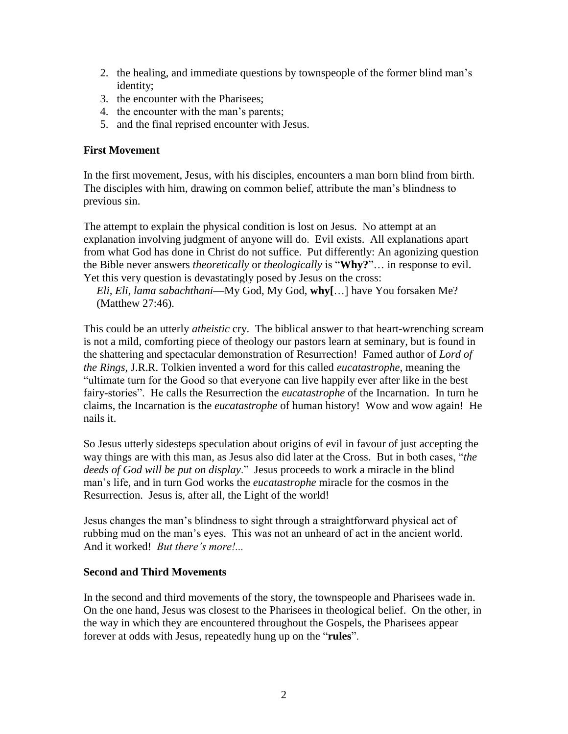- 2. the healing, and immediate questions by townspeople of the former blind man's identity;
- 3. the encounter with the Pharisees;
- 4. the encounter with the man's parents;
- 5. and the final reprised encounter with Jesus.

## **First Movement**

In the first movement, Jesus, with his disciples, encounters a man born blind from birth. The disciples with him, drawing on common belief, attribute the man's blindness to previous sin.

The attempt to explain the physical condition is lost on Jesus. No attempt at an explanation involving judgment of anyone will do. Evil exists. All explanations apart from what God has done in Christ do not suffice. Put differently: An agonizing question the Bible never answers *theoretically* or *theologically* is "**Why?**"… in response to evil. Yet this very question is devastatingly posed by Jesus on the cross:

*Eli, Eli, lama sabachthani*—My God, My God, **why[**…] have You forsaken Me? (Matthew 27:46).

This could be an utterly *atheistic* cry. The biblical answer to that heart-wrenching scream is not a mild, comforting piece of theology our pastors learn at seminary, but is found in the shattering and spectacular demonstration of Resurrection! Famed author of *Lord of the Rings,* J.R.R. Tolkien invented a word for this called *eucatastrophe*, meaning the "ultimate turn for the Good so that everyone can live happily ever after like in the best fairy-stories". He calls the Resurrection the *eucatastrophe* of the Incarnation. In turn he claims, the Incarnation is the *eucatastrophe* of human history! Wow and wow again! He nails it.

So Jesus utterly sidesteps speculation about origins of evil in favour of just accepting the way things are with this man, as Jesus also did later at the Cross. But in both cases, "*the deeds of God will be put on display*." Jesus proceeds to work a miracle in the blind man's life, and in turn God works the *eucatastrophe* miracle for the cosmos in the Resurrection. Jesus is, after all, the Light of the world!

Jesus changes the man's blindness to sight through a straightforward physical act of rubbing mud on the man's eyes. This was not an unheard of act in the ancient world. And it worked! *But there's more!...*

### **Second and Third Movements**

In the second and third movements of the story, the townspeople and Pharisees wade in. On the one hand, Jesus was closest to the Pharisees in theological belief. On the other, in the way in which they are encountered throughout the Gospels, the Pharisees appear forever at odds with Jesus, repeatedly hung up on the "**rules**".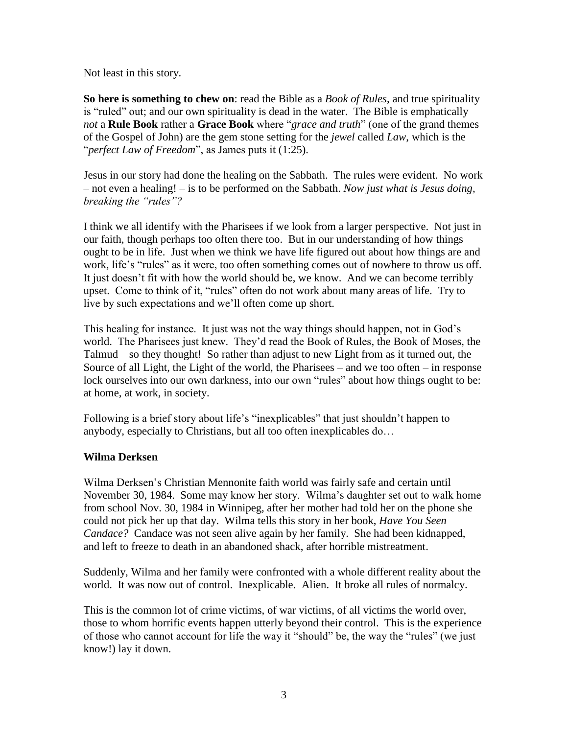Not least in this story.

**So here is something to chew on**: read the Bible as a *Book of Rules*, and true spirituality is "ruled" out; and our own spirituality is dead in the water. The Bible is emphatically *not* a **Rule Book** rather a **Grace Book** where "*grace and truth*" (one of the grand themes of the Gospel of John) are the gem stone setting for the *jewel* called *Law*, which is the "*perfect Law of Freedom*", as James puts it (1:25).

Jesus in our story had done the healing on the Sabbath. The rules were evident. No work – not even a healing! – is to be performed on the Sabbath. *Now just what is Jesus doing, breaking the "rules"?*

I think we all identify with the Pharisees if we look from a larger perspective. Not just in our faith, though perhaps too often there too. But in our understanding of how things ought to be in life. Just when we think we have life figured out about how things are and work, life's "rules" as it were, too often something comes out of nowhere to throw us off. It just doesn't fit with how the world should be, we know. And we can become terribly upset. Come to think of it, "rules" often do not work about many areas of life. Try to live by such expectations and we'll often come up short.

This healing for instance. It just was not the way things should happen, not in God's world. The Pharisees just knew. They'd read the Book of Rules, the Book of Moses, the Talmud – so they thought! So rather than adjust to new Light from as it turned out, the Source of all Light, the Light of the world, the Pharisees – and we too often – in response lock ourselves into our own darkness, into our own "rules" about how things ought to be: at home, at work, in society.

Following is a brief story about life's "inexplicables" that just shouldn't happen to anybody, especially to Christians, but all too often inexplicables do…

## **Wilma Derksen**

Wilma Derksen's Christian Mennonite faith world was fairly safe and certain until November 30, 1984. Some may know her story. Wilma's daughter set out to walk home from school Nov. 30, 1984 in Winnipeg, after her mother had told her on the phone she could not pick her up that day. Wilma tells this story in her book, *Have You Seen Candace?* Candace was not seen alive again by her family. She had been kidnapped, and left to freeze to death in an abandoned shack, after horrible mistreatment.

Suddenly, Wilma and her family were confronted with a whole different reality about the world. It was now out of control. Inexplicable. Alien. It broke all rules of normalcy.

This is the common lot of crime victims, of war victims, of all victims the world over, those to whom horrific events happen utterly beyond their control. This is the experience of those who cannot account for life the way it "should" be, the way the "rules" (we just know!) lay it down.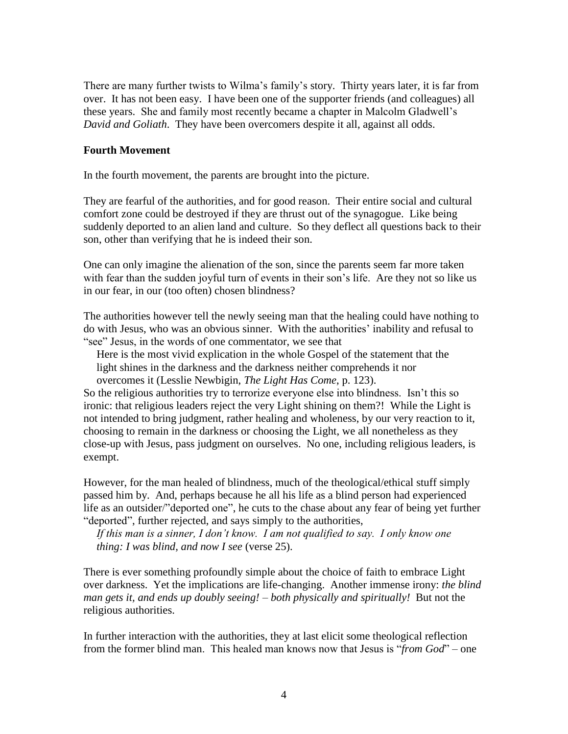There are many further twists to Wilma's family's story. Thirty years later, it is far from over. It has not been easy. I have been one of the supporter friends (and colleagues) all these years. She and family most recently became a chapter in Malcolm Gladwell's *David and Goliath*. They have been overcomers despite it all, against all odds.

### **Fourth Movement**

In the fourth movement, the parents are brought into the picture.

They are fearful of the authorities, and for good reason. Their entire social and cultural comfort zone could be destroyed if they are thrust out of the synagogue. Like being suddenly deported to an alien land and culture. So they deflect all questions back to their son, other than verifying that he is indeed their son.

One can only imagine the alienation of the son, since the parents seem far more taken with fear than the sudden joyful turn of events in their son's life. Are they not so like us in our fear, in our (too often) chosen blindness?

The authorities however tell the newly seeing man that the healing could have nothing to do with Jesus, who was an obvious sinner. With the authorities' inability and refusal to "see" Jesus, in the words of one commentator, we see that

Here is the most vivid explication in the whole Gospel of the statement that the light shines in the darkness and the darkness neither comprehends it nor overcomes it (Lesslie Newbigin, *The Light Has Come*, p. 123).

So the religious authorities try to terrorize everyone else into blindness. Isn't this so ironic: that religious leaders reject the very Light shining on them?! While the Light is not intended to bring judgment, rather healing and wholeness, by our very reaction to it, choosing to remain in the darkness or choosing the Light, we all nonetheless as they close-up with Jesus, pass judgment on ourselves. No one, including religious leaders, is exempt.

However, for the man healed of blindness, much of the theological/ethical stuff simply passed him by. And, perhaps because he all his life as a blind person had experienced life as an outsider/"deported one", he cuts to the chase about any fear of being yet further "deported", further rejected, and says simply to the authorities,

*If this man is a sinner, I don't know. I am not qualified to say. I only know one thing: I was blind, and now I see* (verse 25).

There is ever something profoundly simple about the choice of faith to embrace Light over darkness. Yet the implications are life-changing. Another immense irony: *the blind man gets it, and ends up doubly seeing! – both physically and spiritually!* But not the religious authorities.

In further interaction with the authorities, they at last elicit some theological reflection from the former blind man. This healed man knows now that Jesus is "*from God*" – one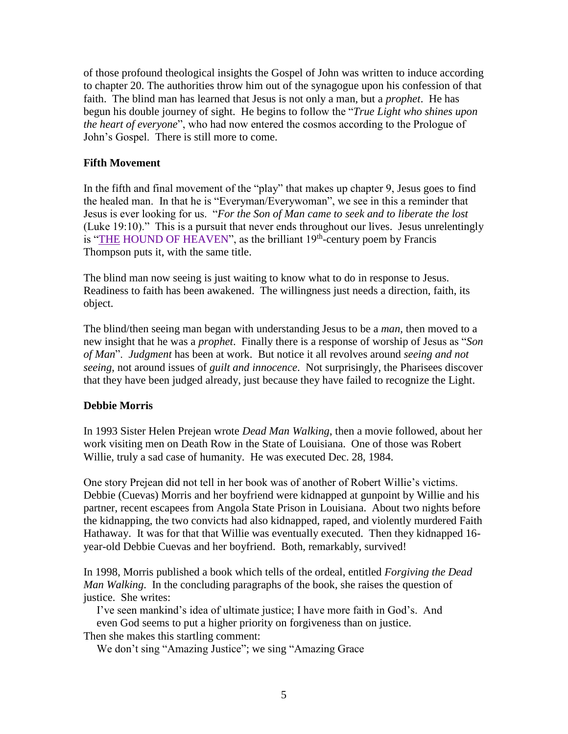of those profound theological insights the Gospel of John was written to induce according to chapter 20. The authorities throw him out of the synagogue upon his confession of that faith. The blind man has learned that Jesus is not only a man, but a *prophet*. He has begun his double journey of sight. He begins to follow the "*True Light who shines upon the heart of everyone*", who had now entered the cosmos according to the Prologue of John's Gospel. There is still more to come.

## **Fifth Movement**

In the fifth and final movement of the "play" that makes up chapter 9, Jesus goes to find the healed man. In that he is "Everyman/Everywoman", we see in this a reminder that Jesus is ever looking for us. "*For the Son of Man came to seek and to liberate the lost* (Luke 19:10)." This is a pursuit that never ends throughout our lives. Jesus unrelentingly is "THE [HOUND OF HEAVEN"](http://www.ewtn.com/library/HUMANITY/HNDHVN.HTM), as the brilliant  $19<sup>th</sup>$ -century poem by Francis Thompson puts it, with the same title.

The blind man now seeing is just waiting to know what to do in response to Jesus. Readiness to faith has been awakened. The willingness just needs a direction, faith, its object.

The blind/then seeing man began with understanding Jesus to be a *man*, then moved to a new insight that he was a *prophet*. Finally there is a response of worship of Jesus as "*Son of Man*". *Judgment* has been at work. But notice it all revolves around *seeing and not seeing*, not around issues of *guilt and innocence*. Not surprisingly, the Pharisees discover that they have been judged already, just because they have failed to recognize the Light.

### **Debbie Morris**

In 1993 Sister Helen Prejean wrote *Dead Man Walking*, then a movie followed, about her work visiting men on Death Row in the State of Louisiana. One of those was Robert Willie, truly a sad case of humanity. He was executed Dec. 28, 1984.

One story Prejean did not tell in her book was of another of Robert Willie's victims. Debbie (Cuevas) Morris and her boyfriend were kidnapped at gunpoint by Willie and his partner, recent escapees from Angola State Prison in Louisiana. About two nights before the kidnapping, the two convicts had also kidnapped, raped, and violently murdered Faith Hathaway. It was for that that Willie was eventually executed. Then they kidnapped 16 year-old Debbie Cuevas and her boyfriend. Both, remarkably, survived!

In 1998, Morris published a book which tells of the ordeal, entitled *Forgiving the Dead Man Walking*. In the concluding paragraphs of the book, she raises the question of justice. She writes:

I've seen mankind's idea of ultimate justice; I have more faith in God's. And even God seems to put a higher priority on forgiveness than on justice. Then she makes this startling comment:

We don't sing "Amazing Justice"; we sing "Amazing Grace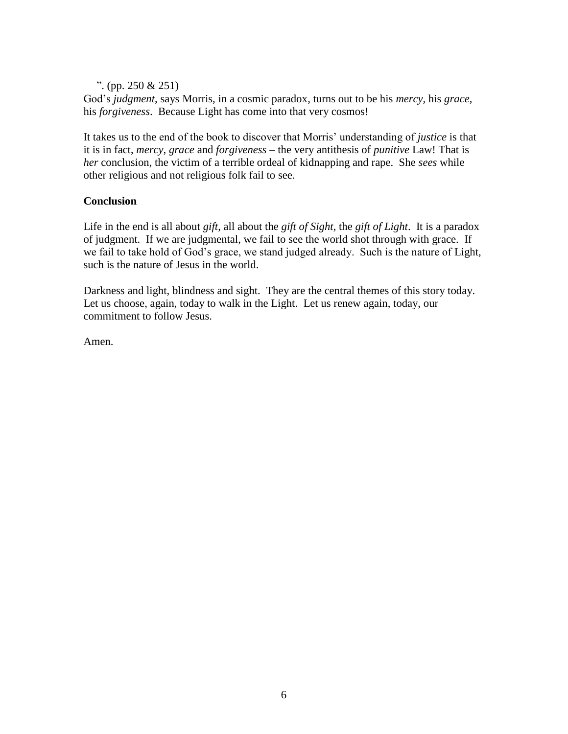". (pp. 250 & 251)

God's *judgment*, says Morris, in a cosmic paradox, turns out to be his *mercy,* his *grace*, his *forgiveness*. Because Light has come into that very cosmos!

It takes us to the end of the book to discover that Morris' understanding of *justice* is that it is in fact, *mercy, grace* and *forgiveness –* the very antithesis of *punitive* Law! That is *her* conclusion, the victim of a terrible ordeal of kidnapping and rape. She *sees* while other religious and not religious folk fail to see.

## **Conclusion**

Life in the end is all about *gift*, all about the *gift of Sight*, the *gift of Light*. It is a paradox of judgment. If we are judgmental, we fail to see the world shot through with grace. If we fail to take hold of God's grace, we stand judged already. Such is the nature of Light, such is the nature of Jesus in the world.

Darkness and light, blindness and sight. They are the central themes of this story today. Let us choose, again, today to walk in the Light. Let us renew again, today, our commitment to follow Jesus.

Amen.